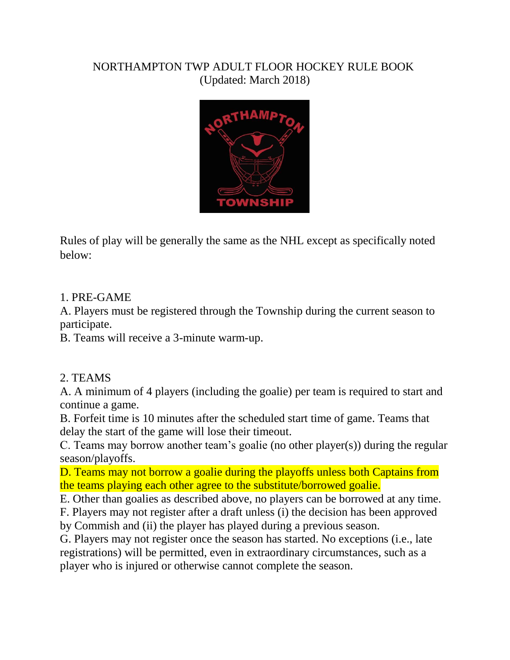#### NORTHAMPTON TWP ADULT FLOOR HOCKEY RULE BOOK (Updated: March 2018)



Rules of play will be generally the same as the NHL except as specifically noted below:

#### 1. PRE-GAME

A. Players must be registered through the Township during the current season to participate.

B. Teams will receive a 3-minute warm-up.

#### 2. TEAMS

A. A minimum of 4 players (including the goalie) per team is required to start and continue a game.

B. Forfeit time is 10 minutes after the scheduled start time of game. Teams that delay the start of the game will lose their timeout.

C. Teams may borrow another team's goalie (no other player(s)) during the regular season/playoffs.

D. Teams may not borrow a goalie during the playoffs unless both Captains from the teams playing each other agree to the substitute/borrowed goalie.

E. Other than goalies as described above, no players can be borrowed at any time.

F. Players may not register after a draft unless (i) the decision has been approved by Commish and (ii) the player has played during a previous season.

G. Players may not register once the season has started. No exceptions (i.e., late registrations) will be permitted, even in extraordinary circumstances, such as a player who is injured or otherwise cannot complete the season.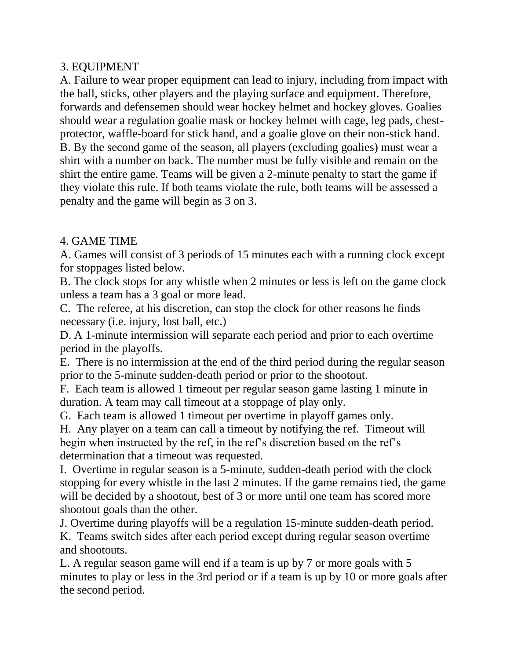## 3. EQUIPMENT

A. Failure to wear proper equipment can lead to injury, including from impact with the ball, sticks, other players and the playing surface and equipment. Therefore, forwards and defensemen should wear hockey helmet and hockey gloves. Goalies should wear a regulation goalie mask or hockey helmet with cage, leg pads, chestprotector, waffle-board for stick hand, and a goalie glove on their non-stick hand. B. By the second game of the season, all players (excluding goalies) must wear a shirt with a number on back. The number must be fully visible and remain on the shirt the entire game. Teams will be given a 2-minute penalty to start the game if they violate this rule. If both teams violate the rule, both teams will be assessed a penalty and the game will begin as 3 on 3.

## 4. GAME TIME

A. Games will consist of 3 periods of 15 minutes each with a running clock except for stoppages listed below.

B. The clock stops for any whistle when 2 minutes or less is left on the game clock unless a team has a 3 goal or more lead.

C. The referee, at his discretion, can stop the clock for other reasons he finds necessary (i.e. injury, lost ball, etc.)

D. A 1-minute intermission will separate each period and prior to each overtime period in the playoffs.

E. There is no intermission at the end of the third period during the regular season prior to the 5-minute sudden-death period or prior to the shootout.

F. Each team is allowed 1 timeout per regular season game lasting 1 minute in duration. A team may call timeout at a stoppage of play only.

G. Each team is allowed 1 timeout per overtime in playoff games only.

H. Any player on a team can call a timeout by notifying the ref. Timeout will begin when instructed by the ref, in the ref's discretion based on the ref's determination that a timeout was requested.

I. Overtime in regular season is a 5-minute, sudden-death period with the clock stopping for every whistle in the last 2 minutes. If the game remains tied, the game will be decided by a shootout, best of 3 or more until one team has scored more shootout goals than the other.

J. Overtime during playoffs will be a regulation 15-minute sudden-death period.

K. Teams switch sides after each period except during regular season overtime and shootouts.

L. A regular season game will end if a team is up by 7 or more goals with 5 minutes to play or less in the 3rd period or if a team is up by 10 or more goals after the second period.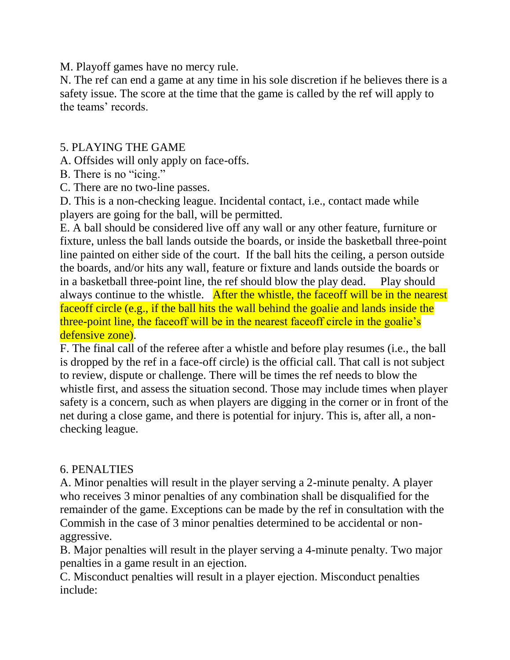M. Playoff games have no mercy rule.

N. The ref can end a game at any time in his sole discretion if he believes there is a safety issue. The score at the time that the game is called by the ref will apply to the teams' records.

### 5. PLAYING THE GAME

A. Offsides will only apply on face-offs.

B. There is no "icing."

C. There are no two-line passes.

D. This is a non-checking league. Incidental contact, i.e., contact made while players are going for the ball, will be permitted.

E. A ball should be considered live off any wall or any other feature, furniture or fixture, unless the ball lands outside the boards, or inside the basketball three-point line painted on either side of the court. If the ball hits the ceiling, a person outside the boards, and/or hits any wall, feature or fixture and lands outside the boards or in a basketball three-point line, the ref should blow the play dead. Play should always continue to the whistle. After the whistle, the faceoff will be in the nearest faceoff circle (e.g., if the ball hits the wall behind the goalie and lands inside the three-point line, the faceoff will be in the nearest faceoff circle in the goalie's defensive zone).

F. The final call of the referee after a whistle and before play resumes (i.e., the ball is dropped by the ref in a face-off circle) is the official call. That call is not subject to review, dispute or challenge. There will be times the ref needs to blow the whistle first, and assess the situation second. Those may include times when player safety is a concern, such as when players are digging in the corner or in front of the net during a close game, and there is potential for injury. This is, after all, a nonchecking league.

# 6. PENALTIES

A. Minor penalties will result in the player serving a 2-minute penalty. A player who receives 3 minor penalties of any combination shall be disqualified for the remainder of the game. Exceptions can be made by the ref in consultation with the Commish in the case of 3 minor penalties determined to be accidental or nonaggressive.

B. Major penalties will result in the player serving a 4-minute penalty. Two major penalties in a game result in an ejection.

C. Misconduct penalties will result in a player ejection. Misconduct penalties include: